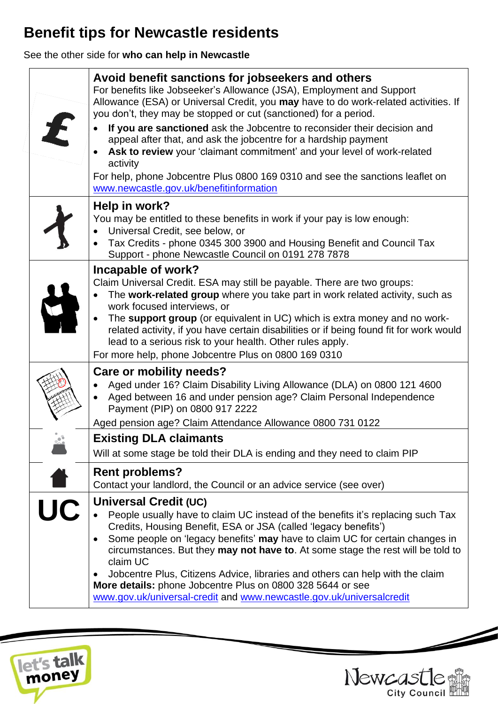## **Benefit tips for Newcastle residents**

See the other side for **who can help in Newcastle**

| $\boldsymbol{t}$ | Avoid benefit sanctions for jobseekers and others<br>For benefits like Jobseeker's Allowance (JSA), Employment and Support<br>Allowance (ESA) or Universal Credit, you may have to do work-related activities. If<br>you don't, they may be stopped or cut (sanctioned) for a period.<br>If you are sanctioned ask the Jobcentre to reconsider their decision and<br>appeal after that, and ask the jobcentre for a hardship payment<br>Ask to review your 'claimant commitment' and your level of work-related<br>activity<br>For help, phone Jobcentre Plus 0800 169 0310 and see the sanctions leaflet on<br>www.newcastle.gov.uk/benefitinformation |
|------------------|---------------------------------------------------------------------------------------------------------------------------------------------------------------------------------------------------------------------------------------------------------------------------------------------------------------------------------------------------------------------------------------------------------------------------------------------------------------------------------------------------------------------------------------------------------------------------------------------------------------------------------------------------------|
|                  | Help in work?<br>You may be entitled to these benefits in work if your pay is low enough:<br>Universal Credit, see below, or<br>Tax Credits - phone 0345 300 3900 and Housing Benefit and Council Tax<br>Support - phone Newcastle Council on 0191 278 7878                                                                                                                                                                                                                                                                                                                                                                                             |
|                  | Incapable of work?<br>Claim Universal Credit. ESA may still be payable. There are two groups:<br>The work-related group where you take part in work related activity, such as<br>work focused interviews, or<br>The support group (or equivalent in UC) which is extra money and no work-<br>related activity, if you have certain disabilities or if being found fit for work would<br>lead to a serious risk to your health. Other rules apply.<br>For more help, phone Jobcentre Plus on 0800 169 0310                                                                                                                                               |
|                  | <b>Care or mobility needs?</b><br>Aged under 16? Claim Disability Living Allowance (DLA) on 0800 121 4600<br>Aged between 16 and under pension age? Claim Personal Independence<br>$\bullet$<br>Payment (PIP) on 0800 917 2222<br>Aged pension age? Claim Attendance Allowance 0800 731 0122                                                                                                                                                                                                                                                                                                                                                            |
|                  | <b>Existing DLA claimants</b><br>Will at some stage be told their DLA is ending and they need to claim PIP                                                                                                                                                                                                                                                                                                                                                                                                                                                                                                                                              |
|                  | <b>Rent problems?</b><br>Contact your landlord, the Council or an advice service (see over)                                                                                                                                                                                                                                                                                                                                                                                                                                                                                                                                                             |
| UC               | Universal Credit (UC)<br>People usually have to claim UC instead of the benefits it's replacing such Tax<br>Credits, Housing Benefit, ESA or JSA (called 'legacy benefits')<br>Some people on 'legacy benefits' may have to claim UC for certain changes in<br>$\bullet$<br>circumstances. But they may not have to. At some stage the rest will be told to<br>claim UC<br>Jobcentre Plus, Citizens Advice, libraries and others can help with the claim<br>$\bullet$<br>More details: phone Jobcentre Plus on 0800 328 5644 or see<br>www.gov.uk/universal-credit and www.newcastle.gov.uk/universalcredit                                             |





Í